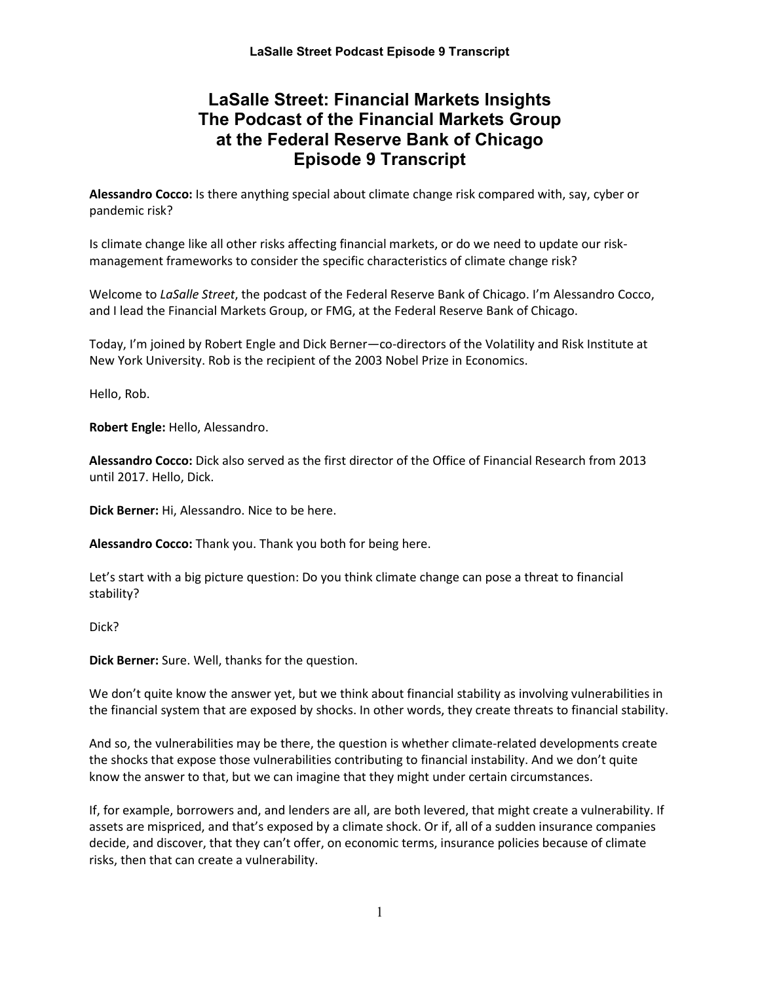# **LaSalle Street: Financial Markets Insights The Podcast of the Financial Markets Group at the Federal Reserve Bank of Chicago Episode 9 Transcript**

**Alessandro Cocco:** Is there anything special about climate change risk compared with, say, cyber or pandemic risk?

Is climate change like all other risks affecting financial markets, or do we need to update our riskmanagement frameworks to consider the specific characteristics of climate change risk?

Welcome to *LaSalle Street*, the podcast of the Federal Reserve Bank of Chicago. I'm Alessandro Cocco, and I lead the Financial Markets Group, or FMG, at the Federal Reserve Bank of Chicago.

Today, I'm joined by Robert Engle and Dick Berner—co-directors of the Volatility and Risk Institute at New York University. Rob is the recipient of the 2003 Nobel Prize in Economics.

Hello, Rob.

**Robert Engle:** Hello, Alessandro.

**Alessandro Cocco:** Dick also served as the first director of the Office of Financial Research from 2013 until 2017. Hello, Dick.

**Dick Berner:** Hi, Alessandro. Nice to be here.

**Alessandro Cocco:** Thank you. Thank you both for being here.

Let's start with a big picture question: Do you think climate change can pose a threat to financial stability?

Dick?

**Dick Berner:** Sure. Well, thanks for the question.

We don't quite know the answer yet, but we think about financial stability as involving vulnerabilities in the financial system that are exposed by shocks. In other words, they create threats to financial stability.

And so, the vulnerabilities may be there, the question is whether climate-related developments create the shocks that expose those vulnerabilities contributing to financial instability. And we don't quite know the answer to that, but we can imagine that they might under certain circumstances.

If, for example, borrowers and, and lenders are all, are both levered, that might create a vulnerability. If assets are mispriced, and that's exposed by a climate shock. Or if, all of a sudden insurance companies decide, and discover, that they can't offer, on economic terms, insurance policies because of climate risks, then that can create a vulnerability.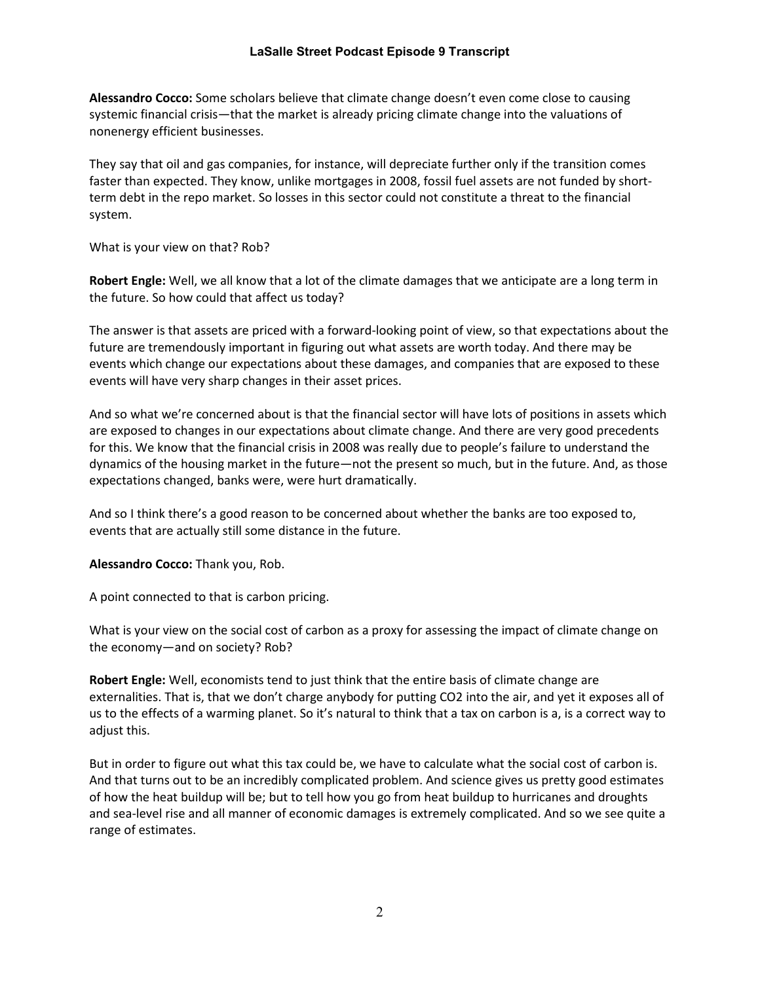**Alessandro Cocco:** Some scholars believe that climate change doesn't even come close to causing systemic financial crisis—that the market is already pricing climate change into the valuations of nonenergy efficient businesses.

They say that oil and gas companies, for instance, will depreciate further only if the transition comes faster than expected. They know, unlike mortgages in 2008, fossil fuel assets are not funded by shortterm debt in the repo market. So losses in this sector could not constitute a threat to the financial system.

What is your view on that? Rob?

**Robert Engle:** Well, we all know that a lot of the climate damages that we anticipate are a long term in the future. So how could that affect us today?

The answer is that assets are priced with a forward-looking point of view, so that expectations about the future are tremendously important in figuring out what assets are worth today. And there may be events which change our expectations about these damages, and companies that are exposed to these events will have very sharp changes in their asset prices.

And so what we're concerned about is that the financial sector will have lots of positions in assets which are exposed to changes in our expectations about climate change. And there are very good precedents for this. We know that the financial crisis in 2008 was really due to people's failure to understand the dynamics of the housing market in the future—not the present so much, but in the future. And, as those expectations changed, banks were, were hurt dramatically.

And so I think there's a good reason to be concerned about whether the banks are too exposed to, events that are actually still some distance in the future.

**Alessandro Cocco:** Thank you, Rob.

A point connected to that is carbon pricing.

What is your view on the social cost of carbon as a proxy for assessing the impact of climate change on the economy—and on society? Rob?

**Robert Engle:** Well, economists tend to just think that the entire basis of climate change are externalities. That is, that we don't charge anybody for putting CO2 into the air, and yet it exposes all of us to the effects of a warming planet. So it's natural to think that a tax on carbon is a, is a correct way to adjust this.

But in order to figure out what this tax could be, we have to calculate what the social cost of carbon is. And that turns out to be an incredibly complicated problem. And science gives us pretty good estimates of how the heat buildup will be; but to tell how you go from heat buildup to hurricanes and droughts and sea-level rise and all manner of economic damages is extremely complicated. And so we see quite a range of estimates.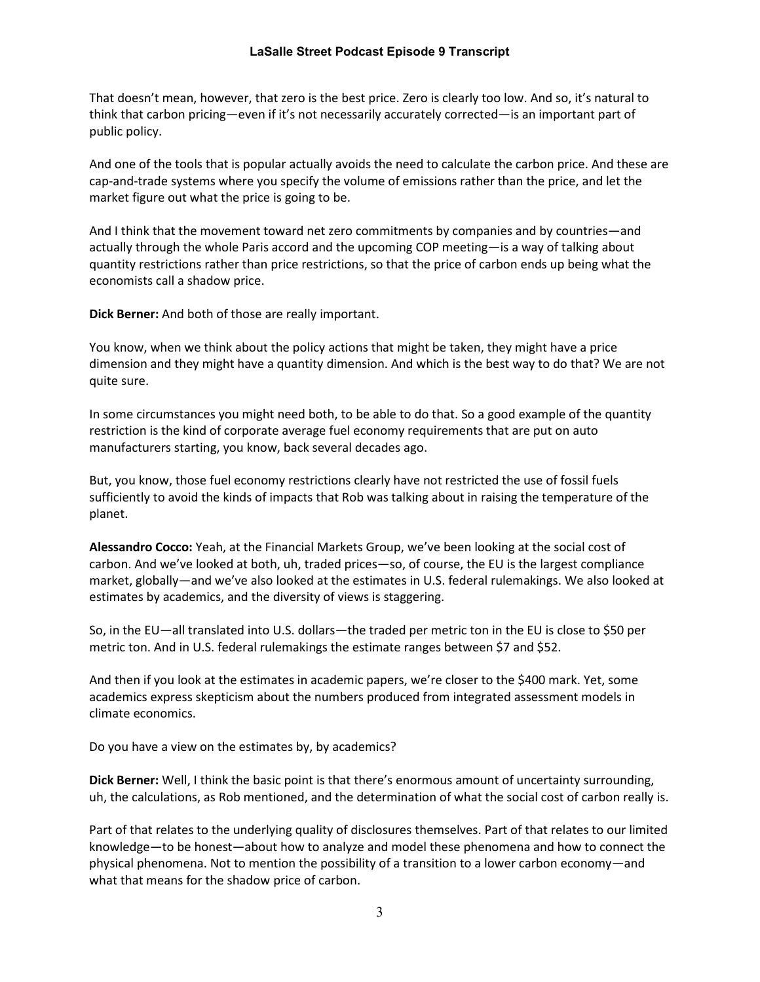That doesn't mean, however, that zero is the best price. Zero is clearly too low. And so, it's natural to think that carbon pricing—even if it's not necessarily accurately corrected—is an important part of public policy.

And one of the tools that is popular actually avoids the need to calculate the carbon price. And these are cap-and-trade systems where you specify the volume of emissions rather than the price, and let the market figure out what the price is going to be.

And I think that the movement toward net zero commitments by companies and by countries—and actually through the whole Paris accord and the upcoming COP meeting—is a way of talking about quantity restrictions rather than price restrictions, so that the price of carbon ends up being what the economists call a shadow price.

**Dick Berner:** And both of those are really important.

You know, when we think about the policy actions that might be taken, they might have a price dimension and they might have a quantity dimension. And which is the best way to do that? We are not quite sure.

In some circumstances you might need both, to be able to do that. So a good example of the quantity restriction is the kind of corporate average fuel economy requirements that are put on auto manufacturers starting, you know, back several decades ago.

But, you know, those fuel economy restrictions clearly have not restricted the use of fossil fuels sufficiently to avoid the kinds of impacts that Rob was talking about in raising the temperature of the planet.

**Alessandro Cocco:** Yeah, at the Financial Markets Group, we've been looking at the social cost of carbon. And we've looked at both, uh, traded prices—so, of course, the EU is the largest compliance market, globally—and we've also looked at the estimates in U.S. federal rulemakings. We also looked at estimates by academics, and the diversity of views is staggering.

So, in the EU—all translated into U.S. dollars—the traded per metric ton in the EU is close to \$50 per metric ton. And in U.S. federal rulemakings the estimate ranges between \$7 and \$52.

And then if you look at the estimates in academic papers, we're closer to the \$400 mark. Yet, some academics express skepticism about the numbers produced from integrated assessment models in climate economics.

Do you have a view on the estimates by, by academics?

**Dick Berner:** Well, I think the basic point is that there's enormous amount of uncertainty surrounding, uh, the calculations, as Rob mentioned, and the determination of what the social cost of carbon really is.

Part of that relates to the underlying quality of disclosures themselves. Part of that relates to our limited knowledge—to be honest—about how to analyze and model these phenomena and how to connect the physical phenomena. Not to mention the possibility of a transition to a lower carbon economy—and what that means for the shadow price of carbon.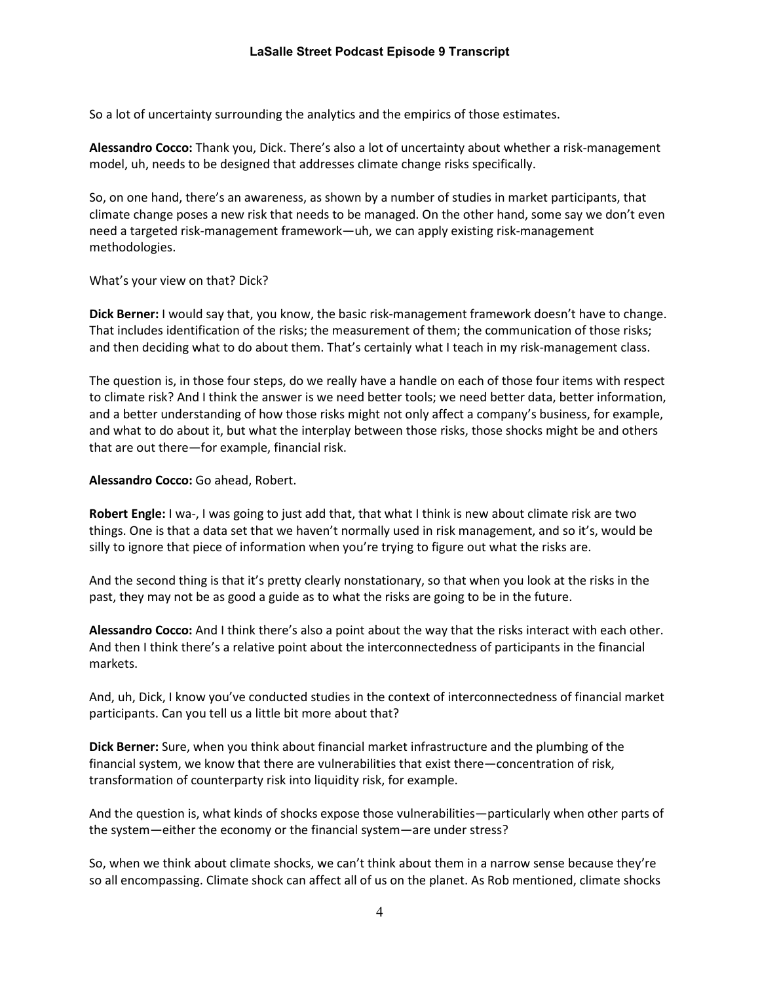So a lot of uncertainty surrounding the analytics and the empirics of those estimates.

**Alessandro Cocco:** Thank you, Dick. There's also a lot of uncertainty about whether a risk-management model, uh, needs to be designed that addresses climate change risks specifically.

So, on one hand, there's an awareness, as shown by a number of studies in market participants, that climate change poses a new risk that needs to be managed. On the other hand, some say we don't even need a targeted risk-management framework—uh, we can apply existing risk-management methodologies.

What's your view on that? Dick?

**Dick Berner:** I would say that, you know, the basic risk-management framework doesn't have to change. That includes identification of the risks; the measurement of them; the communication of those risks; and then deciding what to do about them. That's certainly what I teach in my risk-management class.

The question is, in those four steps, do we really have a handle on each of those four items with respect to climate risk? And I think the answer is we need better tools; we need better data, better information, and a better understanding of how those risks might not only affect a company's business, for example, and what to do about it, but what the interplay between those risks, those shocks might be and others that are out there—for example, financial risk.

**Alessandro Cocco:** Go ahead, Robert.

**Robert Engle:** I wa-, I was going to just add that, that what I think is new about climate risk are two things. One is that a data set that we haven't normally used in risk management, and so it's, would be silly to ignore that piece of information when you're trying to figure out what the risks are.

And the second thing is that it's pretty clearly nonstationary, so that when you look at the risks in the past, they may not be as good a guide as to what the risks are going to be in the future.

**Alessandro Cocco:** And I think there's also a point about the way that the risks interact with each other. And then I think there's a relative point about the interconnectedness of participants in the financial markets.

And, uh, Dick, I know you've conducted studies in the context of interconnectedness of financial market participants. Can you tell us a little bit more about that?

**Dick Berner:** Sure, when you think about financial market infrastructure and the plumbing of the financial system, we know that there are vulnerabilities that exist there—concentration of risk, transformation of counterparty risk into liquidity risk, for example.

And the question is, what kinds of shocks expose those vulnerabilities—particularly when other parts of the system—either the economy or the financial system—are under stress?

So, when we think about climate shocks, we can't think about them in a narrow sense because they're so all encompassing. Climate shock can affect all of us on the planet. As Rob mentioned, climate shocks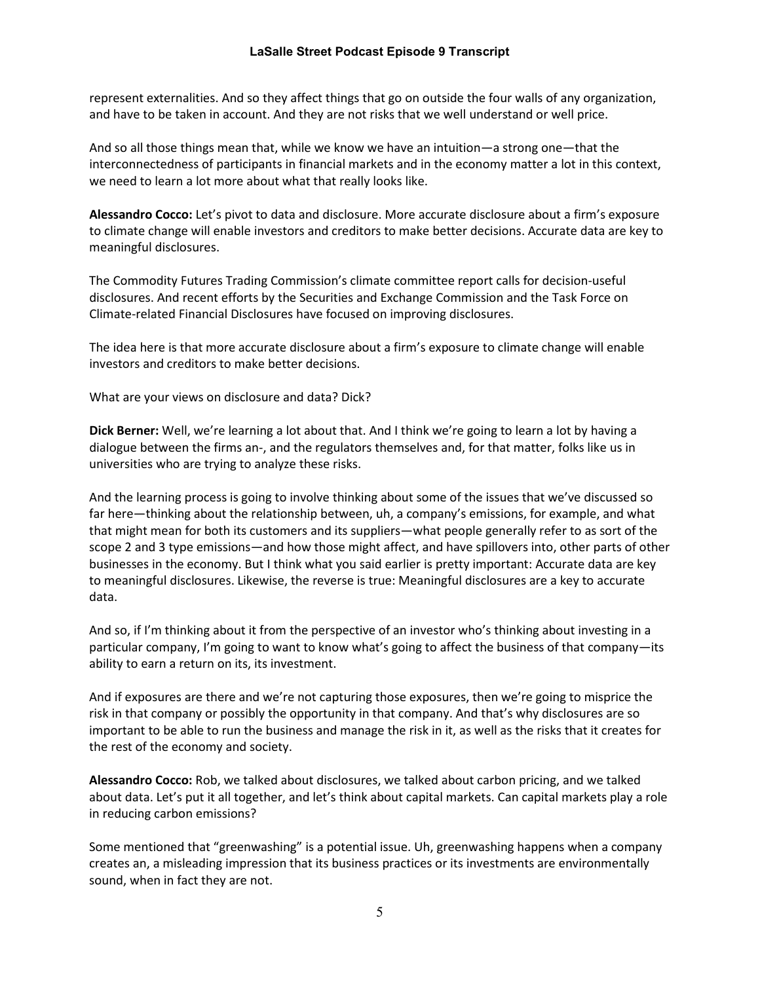represent externalities. And so they affect things that go on outside the four walls of any organization, and have to be taken in account. And they are not risks that we well understand or well price.

And so all those things mean that, while we know we have an intuition—a strong one—that the interconnectedness of participants in financial markets and in the economy matter a lot in this context, we need to learn a lot more about what that really looks like.

**Alessandro Cocco:** Let's pivot to data and disclosure. More accurate disclosure about a firm's exposure to climate change will enable investors and creditors to make better decisions. Accurate data are key to meaningful disclosures.

The Commodity Futures Trading Commission's climate committee report calls for decision-useful disclosures. And recent efforts by the Securities and Exchange Commission and the Task Force on Climate-related Financial Disclosures have focused on improving disclosures.

The idea here is that more accurate disclosure about a firm's exposure to climate change will enable investors and creditors to make better decisions.

What are your views on disclosure and data? Dick?

**Dick Berner:** Well, we're learning a lot about that. And I think we're going to learn a lot by having a dialogue between the firms an-, and the regulators themselves and, for that matter, folks like us in universities who are trying to analyze these risks.

And the learning process is going to involve thinking about some of the issues that we've discussed so far here—thinking about the relationship between, uh, a company's emissions, for example, and what that might mean for both its customers and its suppliers—what people generally refer to as sort of the scope 2 and 3 type emissions—and how those might affect, and have spillovers into, other parts of other businesses in the economy. But I think what you said earlier is pretty important: Accurate data are key to meaningful disclosures. Likewise, the reverse is true: Meaningful disclosures are a key to accurate data.

And so, if I'm thinking about it from the perspective of an investor who's thinking about investing in a particular company, I'm going to want to know what's going to affect the business of that company—its ability to earn a return on its, its investment.

And if exposures are there and we're not capturing those exposures, then we're going to misprice the risk in that company or possibly the opportunity in that company. And that's why disclosures are so important to be able to run the business and manage the risk in it, as well as the risks that it creates for the rest of the economy and society.

**Alessandro Cocco:** Rob, we talked about disclosures, we talked about carbon pricing, and we talked about data. Let's put it all together, and let's think about capital markets. Can capital markets play a role in reducing carbon emissions?

Some mentioned that "greenwashing" is a potential issue. Uh, greenwashing happens when a company creates an, a misleading impression that its business practices or its investments are environmentally sound, when in fact they are not.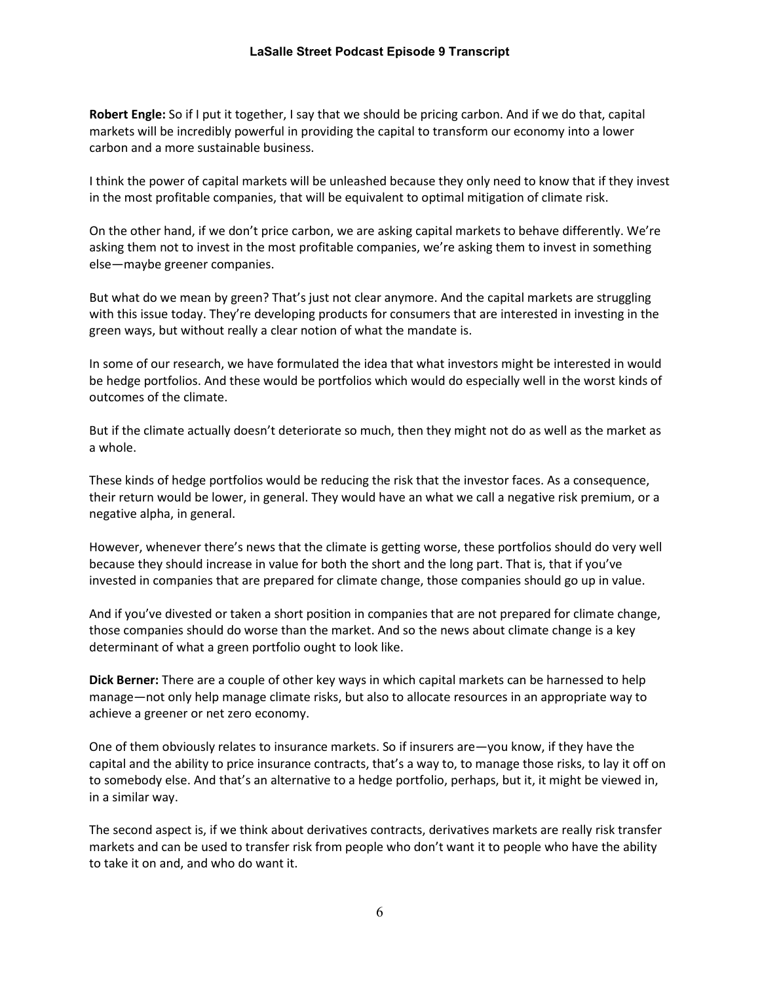**Robert Engle:** So if I put it together, I say that we should be pricing carbon. And if we do that, capital markets will be incredibly powerful in providing the capital to transform our economy into a lower carbon and a more sustainable business.

I think the power of capital markets will be unleashed because they only need to know that if they invest in the most profitable companies, that will be equivalent to optimal mitigation of climate risk.

On the other hand, if we don't price carbon, we are asking capital markets to behave differently. We're asking them not to invest in the most profitable companies, we're asking them to invest in something else—maybe greener companies.

But what do we mean by green? That's just not clear anymore. And the capital markets are struggling with this issue today. They're developing products for consumers that are interested in investing in the green ways, but without really a clear notion of what the mandate is.

In some of our research, we have formulated the idea that what investors might be interested in would be hedge portfolios. And these would be portfolios which would do especially well in the worst kinds of outcomes of the climate.

But if the climate actually doesn't deteriorate so much, then they might not do as well as the market as a whole.

These kinds of hedge portfolios would be reducing the risk that the investor faces. As a consequence, their return would be lower, in general. They would have an what we call a negative risk premium, or a negative alpha, in general.

However, whenever there's news that the climate is getting worse, these portfolios should do very well because they should increase in value for both the short and the long part. That is, that if you've invested in companies that are prepared for climate change, those companies should go up in value.

And if you've divested or taken a short position in companies that are not prepared for climate change, those companies should do worse than the market. And so the news about climate change is a key determinant of what a green portfolio ought to look like.

**Dick Berner:** There are a couple of other key ways in which capital markets can be harnessed to help manage—not only help manage climate risks, but also to allocate resources in an appropriate way to achieve a greener or net zero economy.

One of them obviously relates to insurance markets. So if insurers are—you know, if they have the capital and the ability to price insurance contracts, that's a way to, to manage those risks, to lay it off on to somebody else. And that's an alternative to a hedge portfolio, perhaps, but it, it might be viewed in, in a similar way.

The second aspect is, if we think about derivatives contracts, derivatives markets are really risk transfer markets and can be used to transfer risk from people who don't want it to people who have the ability to take it on and, and who do want it.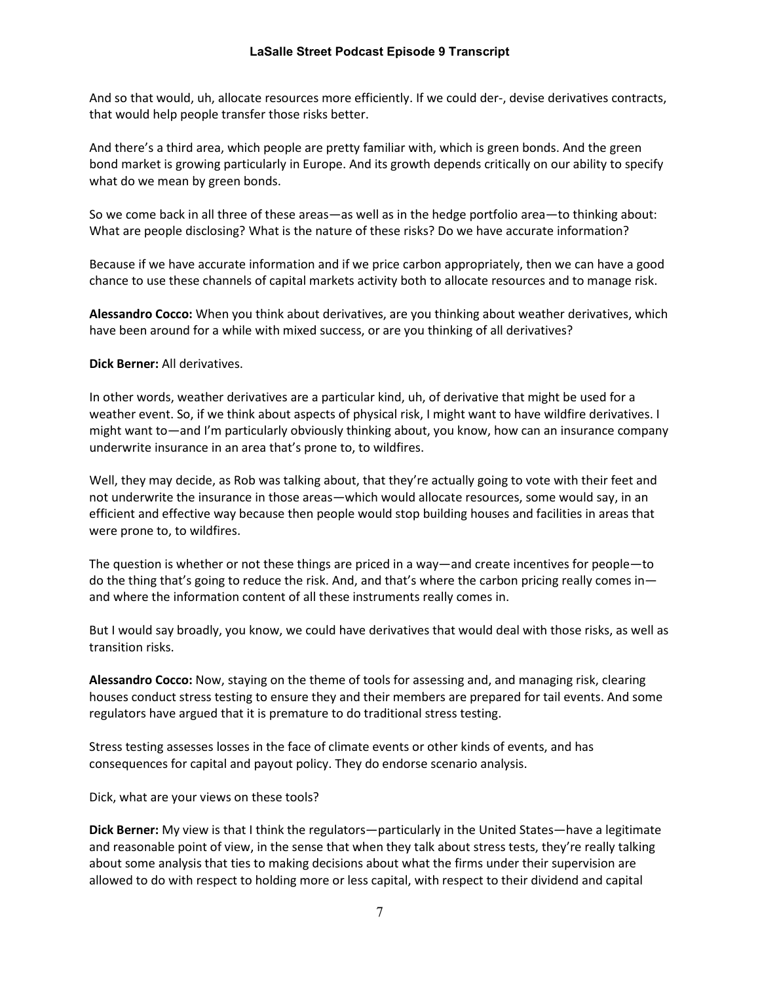And so that would, uh, allocate resources more efficiently. If we could der-, devise derivatives contracts, that would help people transfer those risks better.

And there's a third area, which people are pretty familiar with, which is green bonds. And the green bond market is growing particularly in Europe. And its growth depends critically on our ability to specify what do we mean by green bonds.

So we come back in all three of these areas—as well as in the hedge portfolio area—to thinking about: What are people disclosing? What is the nature of these risks? Do we have accurate information?

Because if we have accurate information and if we price carbon appropriately, then we can have a good chance to use these channels of capital markets activity both to allocate resources and to manage risk.

**Alessandro Cocco:** When you think about derivatives, are you thinking about weather derivatives, which have been around for a while with mixed success, or are you thinking of all derivatives?

#### **Dick Berner:** All derivatives.

In other words, weather derivatives are a particular kind, uh, of derivative that might be used for a weather event. So, if we think about aspects of physical risk, I might want to have wildfire derivatives. I might want to—and I'm particularly obviously thinking about, you know, how can an insurance company underwrite insurance in an area that's prone to, to wildfires.

Well, they may decide, as Rob was talking about, that they're actually going to vote with their feet and not underwrite the insurance in those areas—which would allocate resources, some would say, in an efficient and effective way because then people would stop building houses and facilities in areas that were prone to, to wildfires.

The question is whether or not these things are priced in a way—and create incentives for people—to do the thing that's going to reduce the risk. And, and that's where the carbon pricing really comes in and where the information content of all these instruments really comes in.

But I would say broadly, you know, we could have derivatives that would deal with those risks, as well as transition risks.

**Alessandro Cocco:** Now, staying on the theme of tools for assessing and, and managing risk, clearing houses conduct stress testing to ensure they and their members are prepared for tail events. And some regulators have argued that it is premature to do traditional stress testing.

Stress testing assesses losses in the face of climate events or other kinds of events, and has consequences for capital and payout policy. They do endorse scenario analysis.

Dick, what are your views on these tools?

**Dick Berner:** My view is that I think the regulators—particularly in the United States—have a legitimate and reasonable point of view, in the sense that when they talk about stress tests, they're really talking about some analysis that ties to making decisions about what the firms under their supervision are allowed to do with respect to holding more or less capital, with respect to their dividend and capital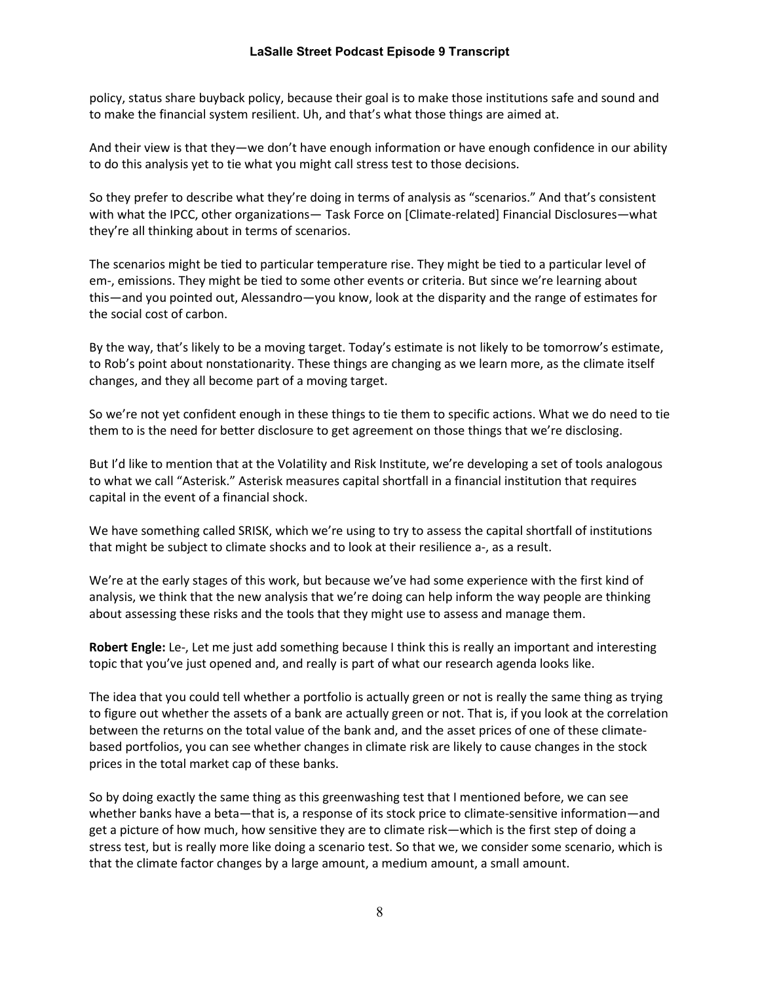policy, status share buyback policy, because their goal is to make those institutions safe and sound and to make the financial system resilient. Uh, and that's what those things are aimed at.

And their view is that they—we don't have enough information or have enough confidence in our ability to do this analysis yet to tie what you might call stress test to those decisions.

So they prefer to describe what they're doing in terms of analysis as "scenarios." And that's consistent with what the IPCC, other organizations— Task Force on [Climate-related] Financial Disclosures—what they're all thinking about in terms of scenarios.

The scenarios might be tied to particular temperature rise. They might be tied to a particular level of em-, emissions. They might be tied to some other events or criteria. But since we're learning about this—and you pointed out, Alessandro—you know, look at the disparity and the range of estimates for the social cost of carbon.

By the way, that's likely to be a moving target. Today's estimate is not likely to be tomorrow's estimate, to Rob's point about nonstationarity. These things are changing as we learn more, as the climate itself changes, and they all become part of a moving target.

So we're not yet confident enough in these things to tie them to specific actions. What we do need to tie them to is the need for better disclosure to get agreement on those things that we're disclosing.

But I'd like to mention that at the Volatility and Risk Institute, we're developing a set of tools analogous to what we call "Asterisk." Asterisk measures capital shortfall in a financial institution that requires capital in the event of a financial shock.

We have something called SRISK, which we're using to try to assess the capital shortfall of institutions that might be subject to climate shocks and to look at their resilience a-, as a result.

We're at the early stages of this work, but because we've had some experience with the first kind of analysis, we think that the new analysis that we're doing can help inform the way people are thinking about assessing these risks and the tools that they might use to assess and manage them.

**Robert Engle:** Le-, Let me just add something because I think this is really an important and interesting topic that you've just opened and, and really is part of what our research agenda looks like.

The idea that you could tell whether a portfolio is actually green or not is really the same thing as trying to figure out whether the assets of a bank are actually green or not. That is, if you look at the correlation between the returns on the total value of the bank and, and the asset prices of one of these climatebased portfolios, you can see whether changes in climate risk are likely to cause changes in the stock prices in the total market cap of these banks.

So by doing exactly the same thing as this greenwashing test that I mentioned before, we can see whether banks have a beta—that is, a response of its stock price to climate-sensitive information—and get a picture of how much, how sensitive they are to climate risk—which is the first step of doing a stress test, but is really more like doing a scenario test. So that we, we consider some scenario, which is that the climate factor changes by a large amount, a medium amount, a small amount.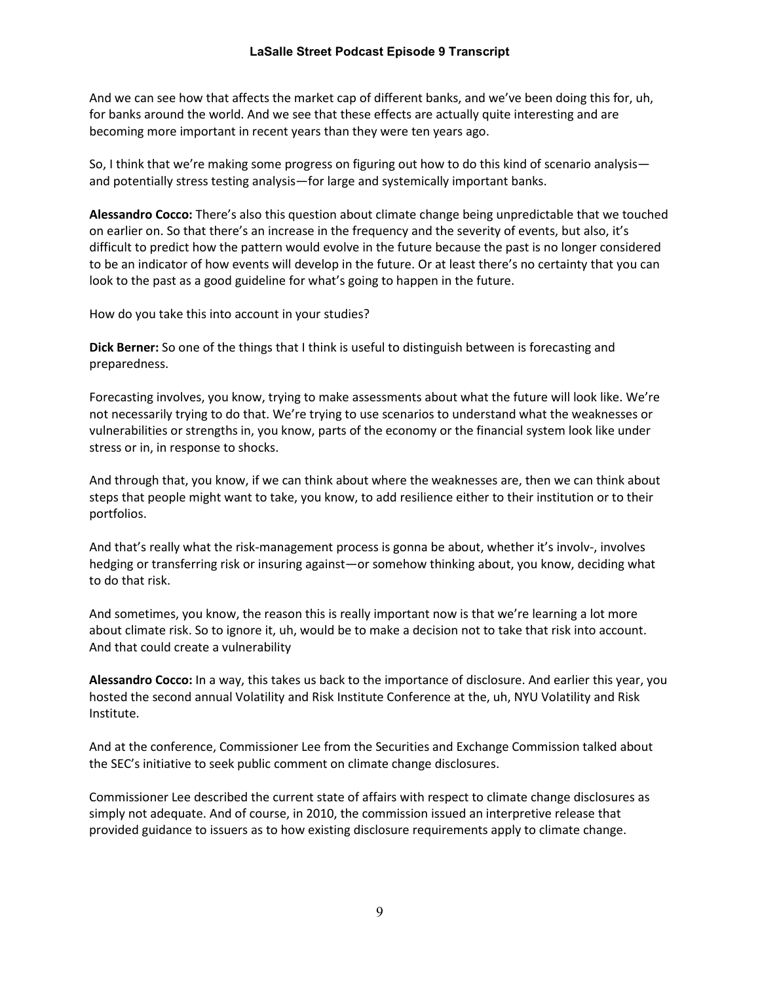And we can see how that affects the market cap of different banks, and we've been doing this for, uh, for banks around the world. And we see that these effects are actually quite interesting and are becoming more important in recent years than they were ten years ago.

So, I think that we're making some progress on figuring out how to do this kind of scenario analysis and potentially stress testing analysis—for large and systemically important banks.

**Alessandro Cocco:** There's also this question about climate change being unpredictable that we touched on earlier on. So that there's an increase in the frequency and the severity of events, but also, it's difficult to predict how the pattern would evolve in the future because the past is no longer considered to be an indicator of how events will develop in the future. Or at least there's no certainty that you can look to the past as a good guideline for what's going to happen in the future.

How do you take this into account in your studies?

**Dick Berner:** So one of the things that I think is useful to distinguish between is forecasting and preparedness.

Forecasting involves, you know, trying to make assessments about what the future will look like. We're not necessarily trying to do that. We're trying to use scenarios to understand what the weaknesses or vulnerabilities or strengths in, you know, parts of the economy or the financial system look like under stress or in, in response to shocks.

And through that, you know, if we can think about where the weaknesses are, then we can think about steps that people might want to take, you know, to add resilience either to their institution or to their portfolios.

And that's really what the risk-management process is gonna be about, whether it's involv-, involves hedging or transferring risk or insuring against—or somehow thinking about, you know, deciding what to do that risk.

And sometimes, you know, the reason this is really important now is that we're learning a lot more about climate risk. So to ignore it, uh, would be to make a decision not to take that risk into account. And that could create a vulnerability

**Alessandro Cocco:** In a way, this takes us back to the importance of disclosure. And earlier this year, you hosted the second annual Volatility and Risk Institute Conference at the, uh, NYU Volatility and Risk Institute.

And at the conference, Commissioner Lee from the Securities and Exchange Commission talked about the SEC's initiative to seek public comment on climate change disclosures.

Commissioner Lee described the current state of affairs with respect to climate change disclosures as simply not adequate. And of course, in 2010, the commission issued an interpretive release that provided guidance to issuers as to how existing disclosure requirements apply to climate change.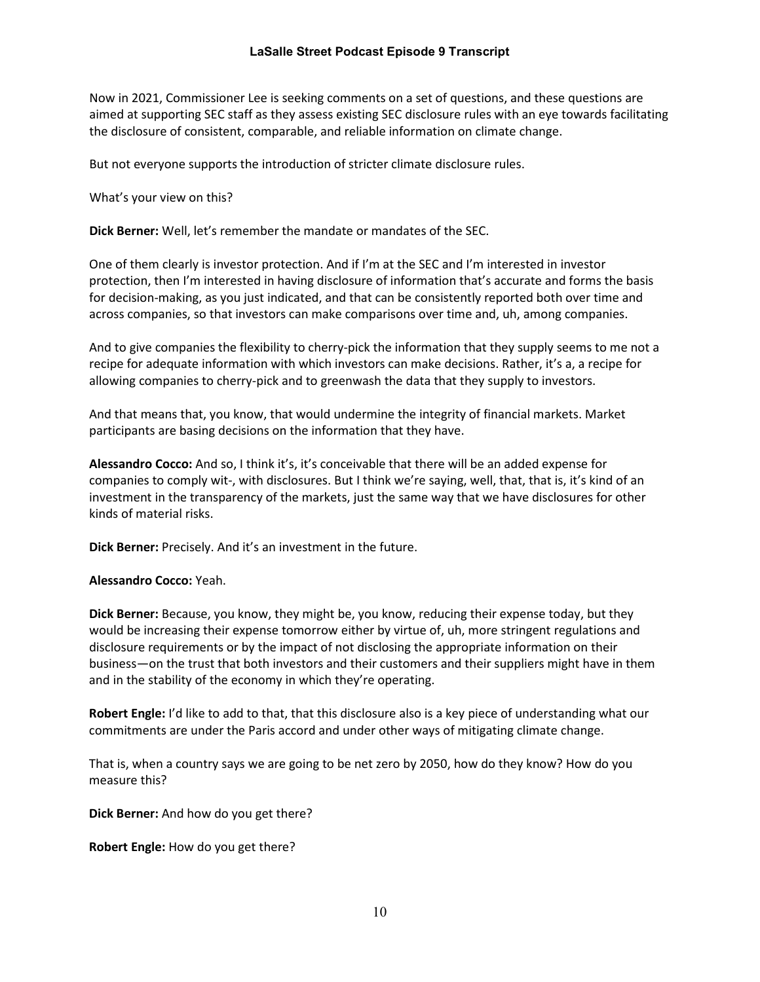Now in 2021, Commissioner Lee is seeking comments on a set of questions, and these questions are aimed at supporting SEC staff as they assess existing SEC disclosure rules with an eye towards facilitating the disclosure of consistent, comparable, and reliable information on climate change.

But not everyone supports the introduction of stricter climate disclosure rules.

What's your view on this?

**Dick Berner:** Well, let's remember the mandate or mandates of the SEC.

One of them clearly is investor protection. And if I'm at the SEC and I'm interested in investor protection, then I'm interested in having disclosure of information that's accurate and forms the basis for decision-making, as you just indicated, and that can be consistently reported both over time and across companies, so that investors can make comparisons over time and, uh, among companies.

And to give companies the flexibility to cherry-pick the information that they supply seems to me not a recipe for adequate information with which investors can make decisions. Rather, it's a, a recipe for allowing companies to cherry-pick and to greenwash the data that they supply to investors.

And that means that, you know, that would undermine the integrity of financial markets. Market participants are basing decisions on the information that they have.

**Alessandro Cocco:** And so, I think it's, it's conceivable that there will be an added expense for companies to comply wit-, with disclosures. But I think we're saying, well, that, that is, it's kind of an investment in the transparency of the markets, just the same way that we have disclosures for other kinds of material risks.

**Dick Berner:** Precisely. And it's an investment in the future.

**Alessandro Cocco:** Yeah.

**Dick Berner:** Because, you know, they might be, you know, reducing their expense today, but they would be increasing their expense tomorrow either by virtue of, uh, more stringent regulations and disclosure requirements or by the impact of not disclosing the appropriate information on their business—on the trust that both investors and their customers and their suppliers might have in them and in the stability of the economy in which they're operating.

**Robert Engle:** I'd like to add to that, that this disclosure also is a key piece of understanding what our commitments are under the Paris accord and under other ways of mitigating climate change.

That is, when a country says we are going to be net zero by 2050, how do they know? How do you measure this?

**Dick Berner:** And how do you get there?

**Robert Engle:** How do you get there?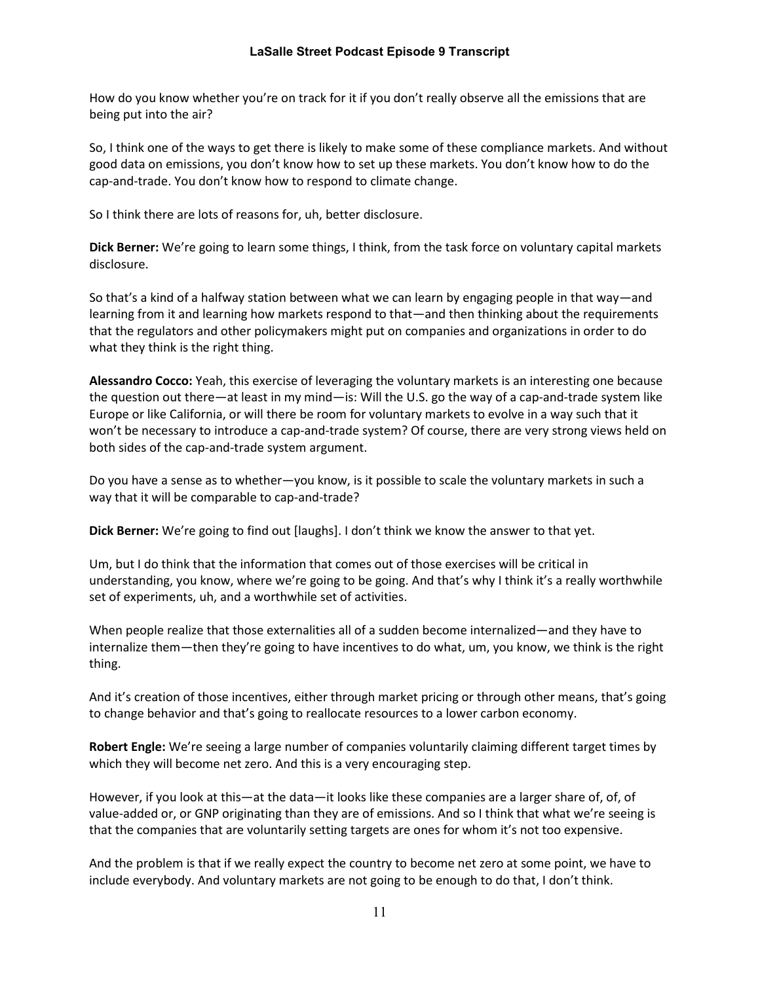How do you know whether you're on track for it if you don't really observe all the emissions that are being put into the air?

So, I think one of the ways to get there is likely to make some of these compliance markets. And without good data on emissions, you don't know how to set up these markets. You don't know how to do the cap-and-trade. You don't know how to respond to climate change.

So I think there are lots of reasons for, uh, better disclosure.

**Dick Berner:** We're going to learn some things, I think, from the task force on voluntary capital markets disclosure.

So that's a kind of a halfway station between what we can learn by engaging people in that way—and learning from it and learning how markets respond to that—and then thinking about the requirements that the regulators and other policymakers might put on companies and organizations in order to do what they think is the right thing.

**Alessandro Cocco:** Yeah, this exercise of leveraging the voluntary markets is an interesting one because the question out there—at least in my mind—is: Will the U.S. go the way of a cap-and-trade system like Europe or like California, or will there be room for voluntary markets to evolve in a way such that it won't be necessary to introduce a cap-and-trade system? Of course, there are very strong views held on both sides of the cap-and-trade system argument.

Do you have a sense as to whether—you know, is it possible to scale the voluntary markets in such a way that it will be comparable to cap-and-trade?

**Dick Berner:** We're going to find out [laughs]. I don't think we know the answer to that yet.

Um, but I do think that the information that comes out of those exercises will be critical in understanding, you know, where we're going to be going. And that's why I think it's a really worthwhile set of experiments, uh, and a worthwhile set of activities.

When people realize that those externalities all of a sudden become internalized—and they have to internalize them—then they're going to have incentives to do what, um, you know, we think is the right thing.

And it's creation of those incentives, either through market pricing or through other means, that's going to change behavior and that's going to reallocate resources to a lower carbon economy.

**Robert Engle:** We're seeing a large number of companies voluntarily claiming different target times by which they will become net zero. And this is a very encouraging step.

However, if you look at this—at the data—it looks like these companies are a larger share of, of, of value-added or, or GNP originating than they are of emissions. And so I think that what we're seeing is that the companies that are voluntarily setting targets are ones for whom it's not too expensive.

And the problem is that if we really expect the country to become net zero at some point, we have to include everybody. And voluntary markets are not going to be enough to do that, I don't think.